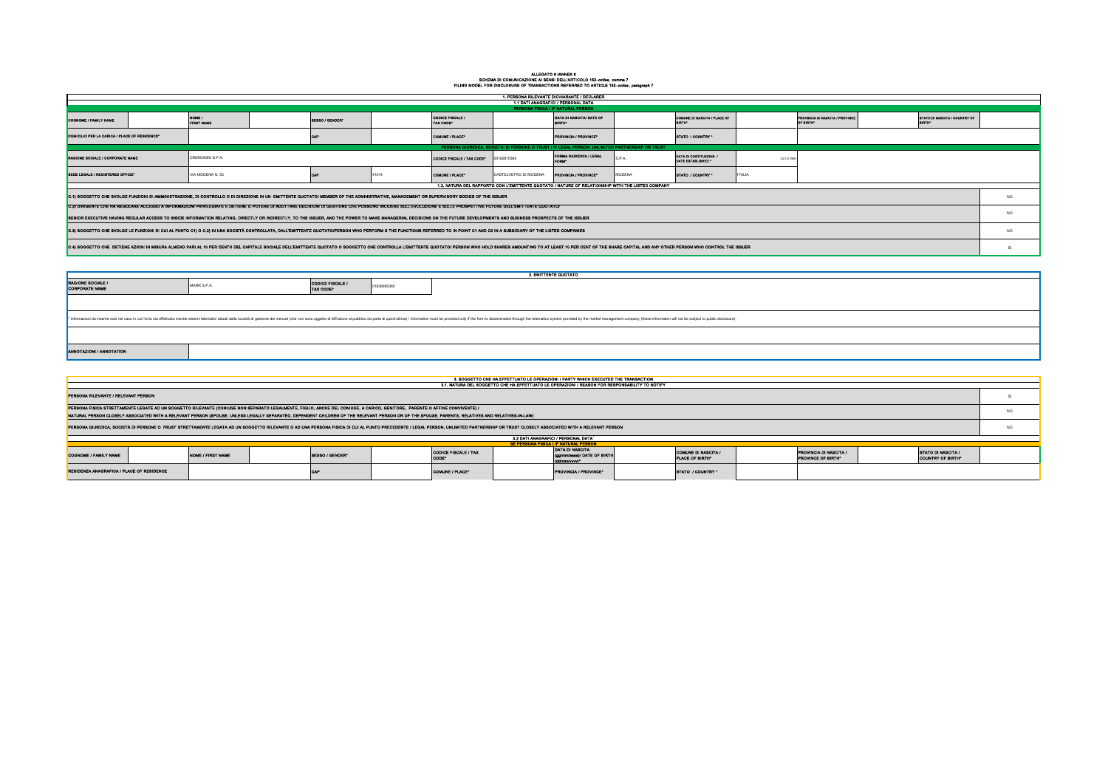## ALLEGATO 6 /ANNEX 6<br>SCHEMA DI COMUNICAZIONE AI SENSI DELL'ARTICOLO 152-*octies*, comma 7<br>FILING MODEL FOR DISCLOSURE OF TRANSACTIONS REFERRED TO ARTICLE 152-*octies* , paragraph 7

| 1. PERSONA RILEVANTE DICHIARANTE / DECLARER                                                                                                                                                                              |  |                                                                                                                                                                                                                               |  |                 |                            |                                      |                         |                                           |                                             |                                                                                                                    |               |                 |  |  |                 |
|--------------------------------------------------------------------------------------------------------------------------------------------------------------------------------------------------------------------------|--|-------------------------------------------------------------------------------------------------------------------------------------------------------------------------------------------------------------------------------|--|-----------------|----------------------------|--------------------------------------|-------------------------|-------------------------------------------|---------------------------------------------|--------------------------------------------------------------------------------------------------------------------|---------------|-----------------|--|--|-----------------|
| 1.1 DATI ANAGRAFICI / PERSONAL DATA<br>PERSONA FISICA / IF NATURAL PERSON                                                                                                                                                |  |                                                                                                                                                                                                                               |  |                 |                            |                                      |                         |                                           |                                             |                                                                                                                    |               |                 |  |  |                 |
| <b>COGNOME / FAMILY NAME</b>                                                                                                                                                                                             |  | FIRST NAME                                                                                                                                                                                                                    |  | SE88O / GENDER® |                            | CODICE FISCALE /<br><b>TAX CODE*</b> |                         | DATA DI NASCITA/ DATE OF<br><b>BIRTH®</b> |                                             | COMUNE DI NASCITA / PLACE OF<br>STATO DI NASCITA / COUNTRY OF<br>PROVINCIA DI NASCITA / PROVINCE<br><b>OF BRTH</b> |               |                 |  |  |                 |
| DOMICILIO PER LA CARICA / PLACE OF RESIDENCE <sup>®</sup>                                                                                                                                                                |  |                                                                                                                                                                                                                               |  |                 |                            | COMUNE / PLACE®                      |                         | PROVINCIA / PROVINCE®                     |                                             | STATO / COUNTRY *                                                                                                  |               |                 |  |  |                 |
| PERSONA GIURIDICA, SOCIETA' DI PERSONE O TRUST / IF LEGAL PERSON, UNLIMITED PARTNERSHIP OR TRUST                                                                                                                         |  |                                                                                                                                                                                                                               |  |                 |                            |                                      |                         |                                           |                                             |                                                                                                                    |               |                 |  |  |                 |
| CREMONINI S.P.A.<br><b>RAGIONE SOCIALE / CORPORATE NAME</b>                                                                                                                                                              |  |                                                                                                                                                                                                                               |  |                 | CODICE FISCALE / TAX CODE* | 00162810360                          | FORMA GIURIDICA / LEGAL | S.P.A.                                    | DATA DI COSTITUZIONE.<br>DATE ESTABLISHED * | 22/12/198                                                                                                          |               |                 |  |  |                 |
| SEDE LEGALE / REQISTERED OFFICE®                                                                                                                                                                                         |  | VIA MODENA N. 53                                                                                                                                                                                                              |  |                 |                            | COMUNE / PLACE"                      | CASTELVETRO DI MODENA   | PROVINCIA / PROVINCE®                     | MODENA                                      | STATO / COUNTRY *                                                                                                  | <b>ITALIA</b> |                 |  |  |                 |
| 1.2. NATURA DEL RAPPORTO CON L'EMITTENTE QUOTATO / NATURE OF RELATIONSHIP WITH THE LISTED COMPANY                                                                                                                        |  |                                                                                                                                                                                                                               |  |                 |                            |                                      |                         |                                           |                                             |                                                                                                                    |               |                 |  |  |                 |
| C.1) SOGGETTO CHE SVOLGE FUNZIONI DI AMMINISTRAZIONE, DI CONTROLLO O DI DIREZIONE IN UN EMITTENTE QUOTATO/ MEMBER OF THE ADMINISTRATIVE, MANAGEMENT OR SUPERVISORY BODIES OF THE ISSUER                                  |  |                                                                                                                                                                                                                               |  |                 |                            |                                      |                         |                                           |                                             |                                                                                                                    |               | NO <sub>1</sub> |  |  |                 |
|                                                                                                                                                                                                                          |  | C.2) DIRIGENTE CHE HA REGOLARE ACCESSO A INFORMAZIONI PRIVILEGIATE E DETIENE IL POTERE DI ADOTTARE DECISIONI DI GESTIONE CHE POSSONO INCIDERE SULL'EVOLUZIONE E SULLE PROSPETTIVE FUTURE DELL'EMITTENTE QUOTATO/              |  |                 |                            |                                      |                         |                                           |                                             |                                                                                                                    |               |                 |  |  |                 |
| SENIOR EXECUTIVE HAVING REGULAR ACCESS TO INSIDE INFORMATION RELATING, DIRECTLY OR INDIRECTLY, TO THE ISSUER, AND THE POWER TO MAKE MANAGERIAL DECISIONS ON THE FUTURE DEVELOPMENTS AND BUSINESS PROSPECTS OF THE ISSUER |  |                                                                                                                                                                                                                               |  |                 |                            |                                      |                         |                                           |                                             |                                                                                                                    |               | NO <sub>1</sub> |  |  |                 |
|                                                                                                                                                                                                                          |  | C.3) SOGGETTO CHE SVOLGE LE FUNZIONI DI CUI AL PUNTO C1) O C.2) IN UNA SOCIETÀ CONTROLLATA, DALL'EMITTENTE QUOTATO/PERSON WHO PERFORM S THE FUNCTIONS REFERRED TO IN POINT C1 AND C2 IN A SUBSIDIARY OF THE LISTED COMPANIES  |  |                 |                            |                                      |                         |                                           |                                             |                                                                                                                    |               |                 |  |  | NO <sub>1</sub> |
|                                                                                                                                                                                                                          |  | C.4) SOGGETTO CHE DETIENE AZIONI IN MISURA ALMENO PARI AL 10 PER CENTO DEL CAPITALE SOCIALE DELL'EMITTENTE QUOTATO O SOGGETTO CHE CONTROLLA L'EMITTENTE QUOTATO / PERSON WHO HOLD SHARES AMOUNTING TO AT LEAST 10 PER CENT OF |  |                 |                            |                                      |                         |                                           |                                             |                                                                                                                    |               |                 |  |  |                 |

| <b>2. EMITTENTE QUOTATO</b>                                                                                                                                                                                                    |             |                                      |             |  |  |  |  |  |  |  |  |  |
|--------------------------------------------------------------------------------------------------------------------------------------------------------------------------------------------------------------------------------|-------------|--------------------------------------|-------------|--|--|--|--|--|--|--|--|--|
| <b>RAGIONE SOCIALE /<br/>CORPORATE NAME</b>                                                                                                                                                                                    | MARR S.P.A. | <b>CODICE FISCALE /</b><br>TAX CODE* | 01836980365 |  |  |  |  |  |  |  |  |  |
|                                                                                                                                                                                                                                |             |                                      |             |  |  |  |  |  |  |  |  |  |
| * informazioni da inserire solo nel caso in cui l'invio sia effettuato tramite istemi telematici attuati dalla società di gestione dei mercati (che non sono oggetto di diffusione al pubblico da parte di quest'ultima) / inf |             |                                      |             |  |  |  |  |  |  |  |  |  |
|                                                                                                                                                                                                                                |             |                                      |             |  |  |  |  |  |  |  |  |  |
| ANNOTAZIONI / ANNOTATION                                                                                                                                                                                                       |             |                                      |             |  |  |  |  |  |  |  |  |  |

| 3. SOGGETTO CHE HA EFFETTUATO LE OPERAZIONI / PARTY WHICH EXECUTED THE TRANSACTION                                                                                                                                             |                                                                                                                                                                                                                                                                                                                     |  |  |  |  |  |  |  |  |  |                 |  |
|--------------------------------------------------------------------------------------------------------------------------------------------------------------------------------------------------------------------------------|---------------------------------------------------------------------------------------------------------------------------------------------------------------------------------------------------------------------------------------------------------------------------------------------------------------------|--|--|--|--|--|--|--|--|--|-----------------|--|
| 3.1. NATURA DEL SOGGETTO CHE HA EFFETTUATO LE OPERAZIONI / REASON FOR RESPONSABILITY TO NOTIFY                                                                                                                                 |                                                                                                                                                                                                                                                                                                                     |  |  |  |  |  |  |  |  |  |                 |  |
| PERSONA RILEVANTE / RELEVANT PERSON                                                                                                                                                                                            |                                                                                                                                                                                                                                                                                                                     |  |  |  |  |  |  |  |  |  |                 |  |
| PERSONA FISICA STRETTAMENTE LEGATE AD UN SOGGETTO RILEVANTE (CONIUGE NON SEPARATO LEGALMENTE, FIGLIO, ANCHE DEL CONIUGE, A CARICO, GENITORE, PARENTE O AFFINE CONVIVENTE) /                                                    |                                                                                                                                                                                                                                                                                                                     |  |  |  |  |  |  |  |  |  |                 |  |
| NATURAL PERSON CLOSELY ASSOCIATED WITH A RELEVANT PERSON (SPOUSE, UNLESS LEGALLY SEPARATED, DEPENDENT CHILDREN OF THE RELEVANT PERSON OR OF THE SPOUSE, PARENTS, RELATIVES AND RELATIVES-IN-LAW)                               |                                                                                                                                                                                                                                                                                                                     |  |  |  |  |  |  |  |  |  |                 |  |
| PERSONA GIURIDICA, SOCIETÀ DI PERSONE O TRUST STRETTAMENTE LEGATA AD UN SOGGETTO RILEVANTE O AD UNA PERSONA FISICA DI CUI AL PUNTO PRECEDENTE / LEGAL PERSON, UNLIMITED PARTNERSHIP OR TRUST CLOSELY ASSOCIATED WITH A RELEVAN |                                                                                                                                                                                                                                                                                                                     |  |  |  |  |  |  |  |  |  | NO <sub>1</sub> |  |
| 3.2 DATI ANAGRAFICI / PERSONAL DATA                                                                                                                                                                                            |                                                                                                                                                                                                                                                                                                                     |  |  |  |  |  |  |  |  |  |                 |  |
| <b>8E PERSONA FISICA / IF NATURAL PERSON</b>                                                                                                                                                                                   |                                                                                                                                                                                                                                                                                                                     |  |  |  |  |  |  |  |  |  |                 |  |
| COGNOME / FAMILY NAME                                                                                                                                                                                                          | DATA DI NASCITA<br><b>CODICE FISCALE / TAX</b><br><b>COMUNE DI NASCITA /</b><br>PROVINCIA DI NARCITA /<br><b>STATO DI NASCITA /</b><br>SESSO / GENDER*<br>(gg/mm/asse)/ DATE OF BIRTH<br><b>NOME / FIRST NAME</b><br><b>CODE</b><br><b>PLACE OF BIRTH®</b><br><b>COUNTRY OF BIRTH®</b><br><b>PROVINCE OF BIRTH®</b> |  |  |  |  |  |  |  |  |  |                 |  |

CAP COMUNE / PLACE\* PROVINCIA / PROVINCIA / PROVINCE\* STATO / COUNTRY \*

**ENZA ANAGRAFICA / PLACE OF RESIDENCE**